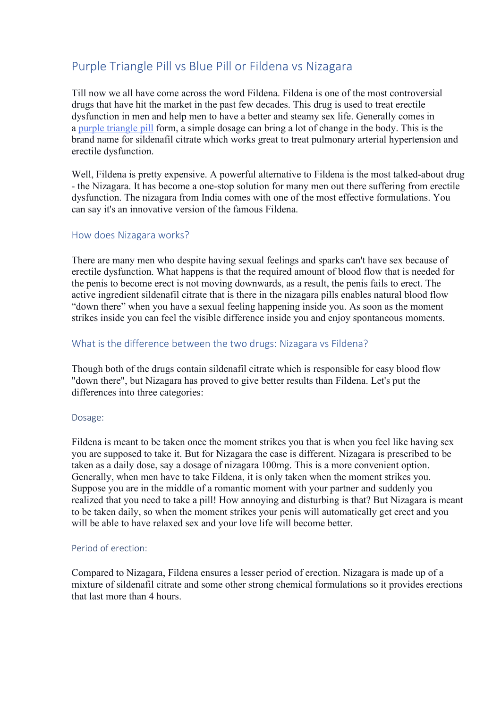# Purple Triangle Pill vs Blue Pill or Fildena vs Nizagara

Till now we all have come across the word Fildena. Fildena is one of the most controversial drugs that have hit the market in the past few decades. This drug is used to treat erectile dysfunction in men and help men to have a better and steamy sex life. Generally comes in a [purple triangle pill](https://nizagara-online.net/fildena/) form, a simple dosage can bring a lot of change in the body. This is the brand name for sildenafil citrate which works great to treat pulmonary arterial hypertension and erectile dysfunction.

Well, Fildena is pretty expensive. A powerful alternative to Fildena is the most talked-about drug - the Nizagara. It has become a one-stop solution for many men out there suffering from erectile dysfunction. The nizagara from India comes with one of the most effective formulations. You can say it's an innovative version of the famous Fildena.

## How does Nizagara works?

There are many men who despite having sexual feelings and sparks can't have sex because of erectile dysfunction. What happens is that the required amount of blood flow that is needed for the penis to become erect is not moving downwards, as a result, the penis fails to erect. The active ingredient sildenafil citrate that is there in the nizagara pills enables natural blood flow "down there" when you have a sexual feeling happening inside you. As soon as the moment strikes inside you can feel the visible difference inside you and enjoy spontaneous moments.

## What is the difference between the two drugs: Nizagara vs Fildena?

Though both of the drugs contain sildenafil citrate which is responsible for easy blood flow "down there", but Nizagara has proved to give better results than Fildena. Let's put the differences into three categories:

#### Dosage:

Fildena is meant to be taken once the moment strikes you that is when you feel like having sex you are supposed to take it. But for Nizagara the case is different. Nizagara is prescribed to be taken as a daily dose, say a dosage of nizagara 100mg. This is a more convenient option. Generally, when men have to take Fildena, it is only taken when the moment strikes you. Suppose you are in the middle of a romantic moment with your partner and suddenly you realized that you need to take a pill! How annoying and disturbing is that? But Nizagara is meant to be taken daily, so when the moment strikes your penis will automatically get erect and you will be able to have relaxed sex and your love life will become better.

#### Period of erection:

Compared to Nizagara, Fildena ensures a lesser period of erection. Nizagara is made up of a mixture of sildenafil citrate and some other strong chemical formulations so it provides erections that last more than 4 hours.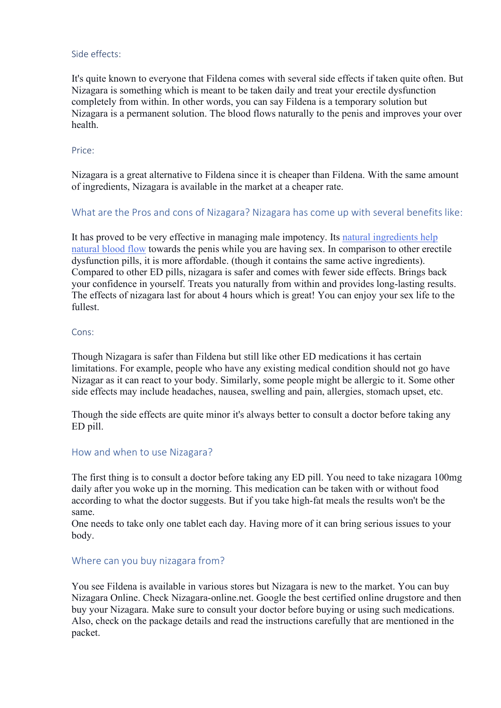#### Side effects:

It's quite known to everyone that Fildena comes with several side effects if taken quite often. But Nizagara is something which is meant to be taken daily and treat your erectile dysfunction completely from within. In other words, you can say Fildena is a temporary solution but Nizagara is a permanent solution. The blood flows naturally to the penis and improves your over health.

#### Price:

Nizagara is a great alternative to Fildena since it is cheaper than Fildena. With the same amount of ingredients, Nizagara is available in the market at a cheaper rate.

## What are the Pros and cons of Nizagara? Nizagara has come up with several benefits like:

It has proved to be very effective in managing male impotency. Its [natural ingredients help](https://www.healthline.com/nutrition/foods-that-increase-blood-flow)  [natural blood flow](https://www.healthline.com/nutrition/foods-that-increase-blood-flow) towards the penis while you are having sex. In comparison to other erectile dysfunction pills, it is more affordable. (though it contains the same active ingredients). Compared to other ED pills, nizagara is safer and comes with fewer side effects. Brings back your confidence in yourself. Treats you naturally from within and provides long-lasting results. The effects of nizagara last for about 4 hours which is great! You can enjoy your sex life to the fullest.

#### Cons:

Though Nizagara is safer than Fildena but still like other ED medications it has certain limitations. For example, people who have any existing medical condition should not go have Nizagar as it can react to your body. Similarly, some people might be allergic to it. Some other side effects may include headaches, nausea, swelling and pain, allergies, stomach upset, etc.

Though the side effects are quite minor it's always better to consult a doctor before taking any ED pill.

#### How and when to use Nizagara?

The first thing is to consult a doctor before taking any ED pill. You need to take nizagara 100mg daily after you woke up in the morning. This medication can be taken with or without food according to what the doctor suggests. But if you take high-fat meals the results won't be the same.

One needs to take only one tablet each day. Having more of it can bring serious issues to your body.

#### Where can you buy nizagara from?

You see Fildena is available in various stores but Nizagara is new to the market. You can buy Nizagara Online. Check Nizagara-online.net. Google the best certified online drugstore and then buy your Nizagara. Make sure to consult your doctor before buying or using such medications. Also, check on the package details and read the instructions carefully that are mentioned in the packet.